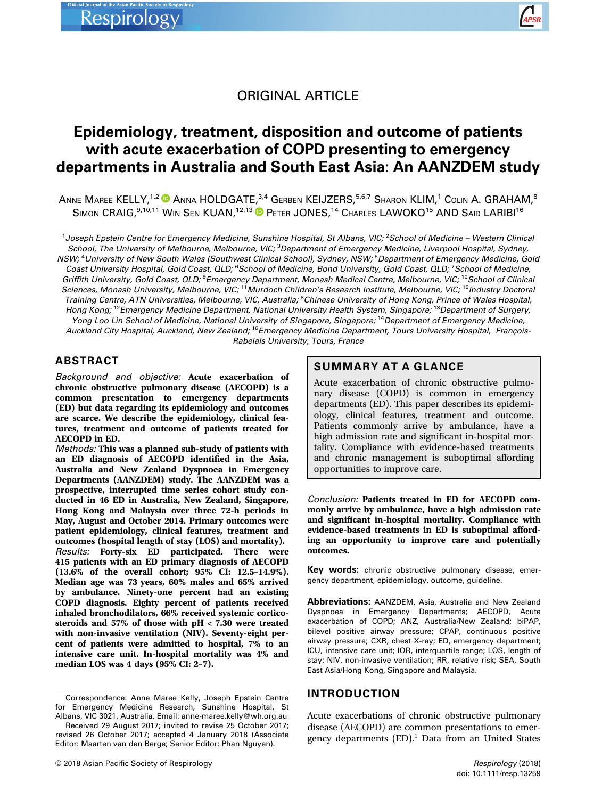

# ORIGINAL ARTICLE

# Epidemiology, treatment, disposition and outcome of patients with acute exacerbation of COPD presenting to emergency departments in Australia and South East Asia: An AANZDEM study

ANNE MAREE KELLY,<sup>1,2</sup> ANNA HOLDGATE,<sup>3,4</sup> GERBEN KEIJZERS,<sup>5,6,7</sup> SHARON KLIM,<sup>1</sup> COLIN A. GRAHAM,<sup>8</sup> SIMON CRAIG, <sup>9,10,11</sup> WIN SEN KUAN, <sup>12,13</sup> PETER JONES, <sup>14</sup> CHARLES LAWOKO<sup>15</sup> AND SAID LARIBI<sup>16</sup>

<sup>1</sup>Joseph Epstein Centre for Emergency Medicine, Sunshine Hospital, St Albans, VIC; <sup>2</sup>School of Medicine – Western Clinica School, The University of Melbourne, Melbourne, VIC; <sup>3</sup>Department of Emergency Medicine, Liverpool Hospital, Sydney, NSW; <sup>4</sup>University of New South Wales (Southwest Clinical School), Sydney, NSW; <sup>5</sup>Department of Emergency Medicine, Gold Coast University Hospital, Gold Coast, QLD; <sup>6</sup>School of Medicine, Bond University, Gold Coast, QLD; <sup>7</sup>School of Medicine, Griffith University, Gold Coast, QLD; <sup>9</sup>Emergency Department, Monash Medical Centre, Melbourne, VIC; <sup>10</sup>School of Clinical Sciences, Monash University, Melbourne, VIC; <sup>11</sup>Murdoch Children's Research Institute, Melbourne, VIC; <sup>15</sup>Industry Doctoral Training Centre, ATN Universities, Melbourne, VIC, Australia; <sup>8</sup>Chinese University of Hong Kong, Prince of Wales Hospital, Hong Kong; <sup>12</sup>Emergency Medicine Department, National University Health System, Singapore; <sup>13</sup>Department of Surgery, Yong Loo Lin School of Medicine, National University of Singapore, Singapore, <sup>14</sup>Department of Emergency Medicine, Auckland City Hospital, Auckland, New Zealand; <sup>16</sup>Emergency Medicine Department, Tours University Hospital, Francois-Rabelais University, Tours, France

# ABSTRACT

Background and objective: Acute exacerbation of chronic obstructive pulmonary disease (AECOPD) is a common presentation to emergency departments (ED) but data regarding its epidemiology and outcomes are scarce. We describe the epidemiology, clinical features, treatment and outcome of patients treated for AECOPD in ED.

Methods: This was a planned sub-study of patients with an ED diagnosis of AECOPD identified in the Asia, Australia and New Zealand Dyspnoea in Emergency Departments (AANZDEM) study. The AANZDEM was a prospective, interrupted time series cohort study conducted in 46 ED in Australia, New Zealand, Singapore, Hong Kong and Malaysia over three 72-h periods in May, August and October 2014. Primary outcomes were patient epidemiology, clinical features, treatment and outcomes (hospital length of stay (LOS) and mortality).

Results: Forty-six ED participated. There were 415 patients with an ED primary diagnosis of AECOPD (13.6% of the overall cohort; 95% CI: 12.5–14.9%). Median age was 73 years, 60% males and 65% arrived by ambulance. Ninety-one percent had an existing COPD diagnosis. Eighty percent of patients received inhaled bronchodilators, 66% received systemic corticosteroids and 57% of those with pH < 7.30 were treated with non-invasive ventilation (NIV). Seventy-eight percent of patients were admitted to hospital, 7% to an intensive care unit. In-hospital mortality was 4% and median LOS was 4 days (95% CI: 2–7).

## SUMMARY AT A GLANCE

Acute exacerbation of chronic obstructive pulmonary disease (COPD) is common in emergency departments (ED). This paper describes its epidemiology, clinical features, treatment and outcome. Patients commonly arrive by ambulance, have a high admission rate and significant in-hospital mortality. Compliance with evidence-based treatments and chronic management is suboptimal affording opportunities to improve care.

Conclusion: Patients treated in ED for AECOPD commonly arrive by ambulance, have a high admission rate and significant in-hospital mortality. Compliance with evidence-based treatments in ED is suboptimal affording an opportunity to improve care and potentially outcomes.

Key words: chronic obstructive pulmonary disease, emergency department, epidemiology, outcome, guideline.

Abbreviations: AANZDEM, Asia, Australia and New Zealand Dyspnoea in Emergency Departments; AECOPD, Acute exacerbation of COPD; ANZ, Australia/New Zealand; biPAP, bilevel positive airway pressure; CPAP, continuous positive airway pressure; CXR, chest X-ray; ED, emergency department; ICU, intensive care unit; IQR, interquartile range; LOS, length of stay; NIV, non-invasive ventilation; RR, relative risk; SEA, South East Asia/Hong Kong, Singapore and Malaysia.

# INTRODUCTION

Acute exacerbations of chronic obstructive pulmonary disease (AECOPD) are common presentations to emergency departments  $(ED)^1$ . Data from an United States

Correspondence: Anne Maree Kelly, Joseph Epstein Centre for Emergency Medicine Research, Sunshine Hospital, St Albans, VIC 3021, Australia. Email: anne-maree.kelly@wh.org.au

Received 29 August 2017; invited to revise 25 October 2017; revised 26 October 2017; accepted 4 January 2018 (Associate Editor: Maarten van den Berge; Senior Editor: Phan Nguyen).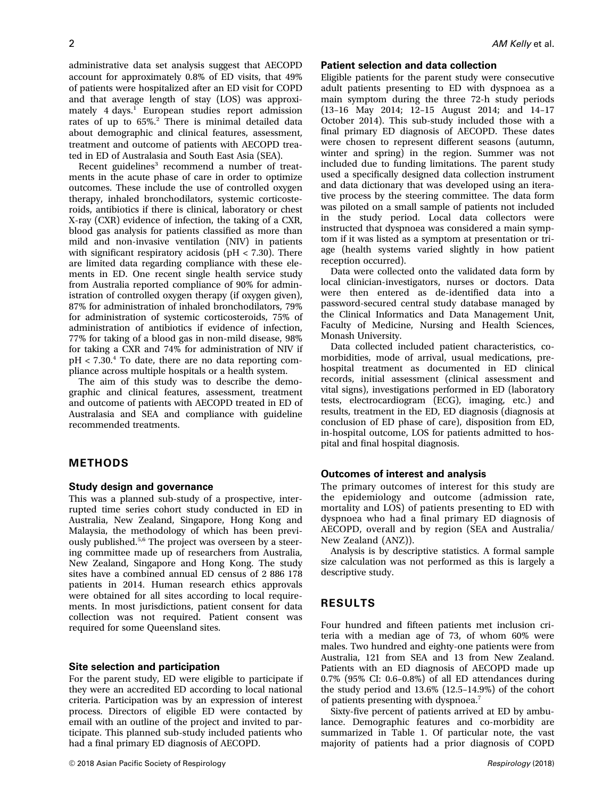administrative data set analysis suggest that AECOPD account for approximately 0.8% of ED visits, that 49% of patients were hospitalized after an ED visit for COPD and that average length of stay (LOS) was approximately 4 days.<sup>1</sup> European studies report admission rates of up to 65%.<sup>2</sup> There is minimal detailed data about demographic and clinical features, assessment, treatment and outcome of patients with AECOPD treated in ED of Australasia and South East Asia (SEA).

Recent guidelines<sup>3</sup> recommend a number of treatments in the acute phase of care in order to optimize outcomes. These include the use of controlled oxygen therapy, inhaled bronchodilators, systemic corticosteroids, antibiotics if there is clinical, laboratory or chest X-ray (CXR) evidence of infection, the taking of a CXR, blood gas analysis for patients classified as more than mild and non-invasive ventilation (NIV) in patients with significant respiratory acidosis ( $pH < 7.30$ ). There are limited data regarding compliance with these elements in ED. One recent single health service study from Australia reported compliance of 90% for administration of controlled oxygen therapy (if oxygen given), 87% for administration of inhaled bronchodilators, 79% for administration of systemic corticosteroids, 75% of administration of antibiotics if evidence of infection, 77% for taking of a blood gas in non-mild disease, 98% for taking a CXR and 74% for administration of NIV if  $pH < 7.30<sup>4</sup>$  To date, there are no data reporting compliance across multiple hospitals or a health system.

The aim of this study was to describe the demographic and clinical features, assessment, treatment and outcome of patients with AECOPD treated in ED of Australasia and SEA and compliance with guideline recommended treatments.

### METHODS

#### Study design and governance

This was a planned sub-study of a prospective, interrupted time series cohort study conducted in ED in Australia, New Zealand, Singapore, Hong Kong and Malaysia, the methodology of which has been previously published.<sup>5,6</sup> The project was overseen by a steering committee made up of researchers from Australia, New Zealand, Singapore and Hong Kong. The study sites have a combined annual ED census of 2 886 178 patients in 2014. Human research ethics approvals were obtained for all sites according to local requirements. In most jurisdictions, patient consent for data collection was not required. Patient consent was required for some Queensland sites.

#### Site selection and participation

For the parent study, ED were eligible to participate if they were an accredited ED according to local national criteria. Participation was by an expression of interest process. Directors of eligible ED were contacted by email with an outline of the project and invited to participate. This planned sub-study included patients who had a final primary ED diagnosis of AECOPD.

## Patient selection and data collection

Eligible patients for the parent study were consecutive adult patients presenting to ED with dyspnoea as a main symptom during the three 72-h study periods (13–16 May 2014; 12–15 August 2014; and 14–17 October 2014). This sub-study included those with a final primary ED diagnosis of AECOPD. These dates were chosen to represent different seasons (autumn, winter and spring) in the region. Summer was not included due to funding limitations. The parent study used a specifically designed data collection instrument and data dictionary that was developed using an iterative process by the steering committee. The data form was piloted on a small sample of patients not included in the study period. Local data collectors were instructed that dyspnoea was considered a main symptom if it was listed as a symptom at presentation or triage (health systems varied slightly in how patient reception occurred).

Data were collected onto the validated data form by local clinician-investigators, nurses or doctors. Data were then entered as de-identified data into a password-secured central study database managed by the Clinical Informatics and Data Management Unit, Faculty of Medicine, Nursing and Health Sciences, Monash University.

Data collected included patient characteristics, comorbidities, mode of arrival, usual medications, prehospital treatment as documented in ED clinical records, initial assessment (clinical assessment and vital signs), investigations performed in ED (laboratory tests, electrocardiogram (ECG), imaging, etc.) and results, treatment in the ED, ED diagnosis (diagnosis at conclusion of ED phase of care), disposition from ED, in-hospital outcome, LOS for patients admitted to hospital and final hospital diagnosis.

# Outcomes of interest and analysis

The primary outcomes of interest for this study are the epidemiology and outcome (admission rate, mortality and LOS) of patients presenting to ED with dyspnoea who had a final primary ED diagnosis of AECOPD, overall and by region (SEA and Australia/ New Zealand (ANZ)).

Analysis is by descriptive statistics. A formal sample size calculation was not performed as this is largely a descriptive study.

### RESULTS

Four hundred and fifteen patients met inclusion criteria with a median age of 73, of whom 60% were males. Two hundred and eighty-one patients were from Australia, 121 from SEA and 13 from New Zealand. Patients with an ED diagnosis of AECOPD made up 0.7% (95% CI: 0.6–0.8%) of all ED attendances during the study period and 13.6% (12.5–14.9%) of the cohort of patients presenting with dyspnoea.<sup>7</sup>

Sixty-five percent of patients arrived at ED by ambulance. Demographic features and co-morbidity are summarized in Table 1. Of particular note, the vast majority of patients had a prior diagnosis of COPD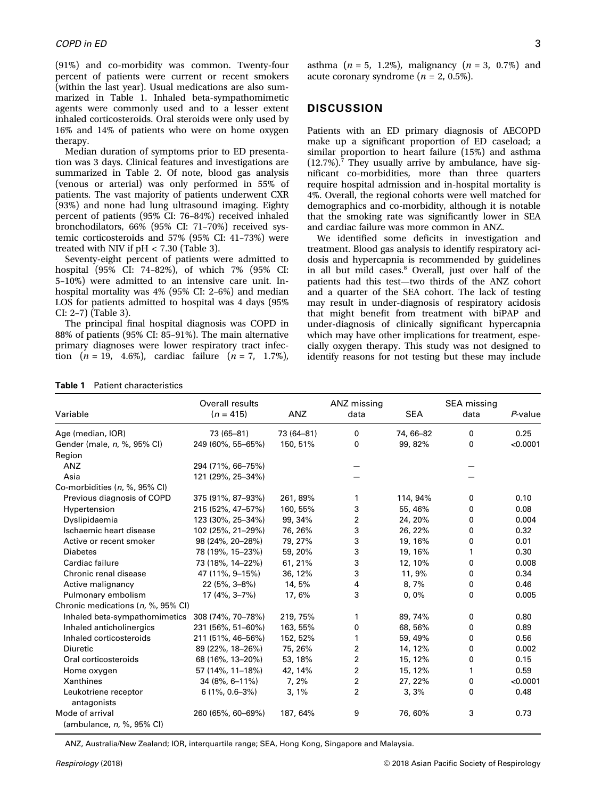(91%) and co-morbidity was common. Twenty-four percent of patients were current or recent smokers (within the last year). Usual medications are also summarized in Table 1. Inhaled beta-sympathomimetic agents were commonly used and to a lesser extent inhaled corticosteroids. Oral steroids were only used by 16% and 14% of patients who were on home oxygen therapy.

Median duration of symptoms prior to ED presentation was 3 days. Clinical features and investigations are summarized in Table 2. Of note, blood gas analysis (venous or arterial) was only performed in 55% of patients. The vast majority of patients underwent CXR (93%) and none had lung ultrasound imaging. Eighty percent of patients (95% CI: 76–84%) received inhaled bronchodilators, 66% (95% CI: 71–70%) received systemic corticosteroids and 57% (95% CI: 41–73%) were treated with NIV if pH < 7.30 (Table 3).

Seventy-eight percent of patients were admitted to hospital (95% CI: 74–82%), of which 7% (95% CI: 5–10%) were admitted to an intensive care unit. Inhospital mortality was 4% (95% CI: 2–6%) and median LOS for patients admitted to hospital was 4 days (95% CI: 2–7) (Table 3).

The principal final hospital diagnosis was COPD in 88% of patients (95% CI: 85–91%). The main alternative primary diagnoses were lower respiratory tract infection  $(n = 19, 4.6\%)$ , cardiac failure  $(n = 7, 1.7\%)$ ,

asthma  $(n = 5, 1.2\%)$ , malignancy  $(n = 3, 0.7\%)$  and acute coronary syndrome ( $n = 2, 0.5\%$ ).

### **DISCUSSION**

Patients with an ED primary diagnosis of AECOPD make up a significant proportion of ED caseload; a similar proportion to heart failure (15%) and asthma  $(12.7\%)$ .<sup>7</sup> They usually arrive by ambulance, have significant co-morbidities, more than three quarters require hospital admission and in-hospital mortality is 4%. Overall, the regional cohorts were well matched for demographics and co-morbidity, although it is notable that the smoking rate was significantly lower in SEA and cardiac failure was more common in ANZ.

We identified some deficits in investigation and treatment. Blood gas analysis to identify respiratory acidosis and hypercapnia is recommended by guidelines in all but mild cases.<sup>8</sup> Overall, just over half of the patients had this test—two thirds of the ANZ cohort and a quarter of the SEA cohort. The lack of testing may result in under-diagnosis of respiratory acidosis that might benefit from treatment with biPAP and under-diagnosis of clinically significant hypercapnia which may have other implications for treatment, especially oxygen therapy. This study was not designed to identify reasons for not testing but these may include

| Variable                                     | Overall results<br>$(n = 415)$ | ANZ        | ANZ missing<br>data | <b>SEA</b> | SEA missing<br>data | P-value  |
|----------------------------------------------|--------------------------------|------------|---------------------|------------|---------------------|----------|
| Age (median, IQR)                            | 73 (65-81)                     | 73 (64-81) | 0                   | 74, 66-82  | 0                   | 0.25     |
| Gender (male, n, %, 95% CI)                  | 249 (60%, 55-65%)              | 150, 51%   | 0                   | 99, 82%    | 0                   | < 0.0001 |
| Region                                       |                                |            |                     |            |                     |          |
| ANZ                                          | 294 (71%, 66-75%)              |            |                     |            |                     |          |
| Asia                                         | 121 (29%, 25-34%)              |            |                     |            |                     |          |
| Co-morbidities (n, %, 95% CI)                |                                |            |                     |            |                     |          |
| Previous diagnosis of COPD                   | 375 (91%, 87-93%)              | 261, 89%   | 1                   | 114, 94%   | 0                   | 0.10     |
| Hypertension                                 | 215 (52%, 47-57%)              | 160, 55%   | 3                   | 55, 46%    | 0                   | 0.08     |
| Dyslipidaemia                                | 123 (30%, 25-34%)              | 99, 34%    | 2                   | 24, 20%    | 0                   | 0.004    |
| Ischaemic heart disease                      | 102 (25%, 21-29%)              | 76, 26%    | 3                   | 26, 22%    | 0                   | 0.32     |
| Active or recent smoker                      | 98 (24%, 20-28%)               | 79, 27%    | 3                   | 19, 16%    | 0                   | 0.01     |
| <b>Diabetes</b>                              | 78 (19%, 15-23%)               | 59, 20%    | 3                   | 19, 16%    | 1                   | 0.30     |
| Cardiac failure                              | 73 (18%, 14–22%)               | 61, 21%    | 3                   | 12, 10%    | 0                   | 0.008    |
| Chronic renal disease                        | 47 (11%, 9-15%)                | 36, 12%    | 3                   | 11,9%      | 0                   | 0.34     |
| Active malignancy                            | $22(5\%, 3-8\%)$               | 14, 5%     | 4                   | 8,7%       | 0                   | 0.46     |
| Pulmonary embolism                           | $17(4\%, 3-7\%)$               | 17,6%      | 3                   | 0,0%       | 0                   | 0.005    |
| Chronic medications (n, %, 95% CI)           |                                |            |                     |            |                     |          |
| Inhaled beta-sympathomimetics                | 308 (74%, 70-78%)              | 219, 75%   | 1                   | 89, 74%    | 0                   | 0.80     |
| Inhaled anticholinergics                     | 231 (56%, 51-60%)              | 163, 55%   | 0                   | 68, 56%    | 0                   | 0.89     |
| Inhaled corticosteroids                      | 211 (51%, 46-56%)              | 152, 52%   | 1                   | 59, 49%    | 0                   | 0.56     |
| <b>Diuretic</b>                              | 89 (22%, 18-26%)               | 75, 26%    | 2                   | 14, 12%    | 0                   | 0.002    |
| Oral corticosteroids                         | 68 (16%, 13-20%)               | 53, 18%    | 2                   | 15, 12%    | 0                   | 0.15     |
| Home oxygen                                  | 57 (14%, 11–18%)               | 42, 14%    | 2                   | 15, 12%    | 1                   | 0.59     |
| Xanthines                                    | 34 (8%, 6-11%)                 | 7,2%       | 2                   | 27, 22%    | 0                   | < 0.0001 |
| Leukotriene receptor<br>antagonists          | $6(1\%, 0.6-3\%)$              | 3,1%       | 2                   | 3,3%       | 0                   | 0.48     |
| Mode of arrival<br>(ambulance, n, %, 95% CI) | 260 (65%, 60-69%)              | 187, 64%   | 9                   | 76,60%     | 3                   | 0.73     |

Table 1 Patient characteristics

ANZ, Australia/New Zealand; IQR, interquartile range; SEA, Hong Kong, Singapore and Malaysia.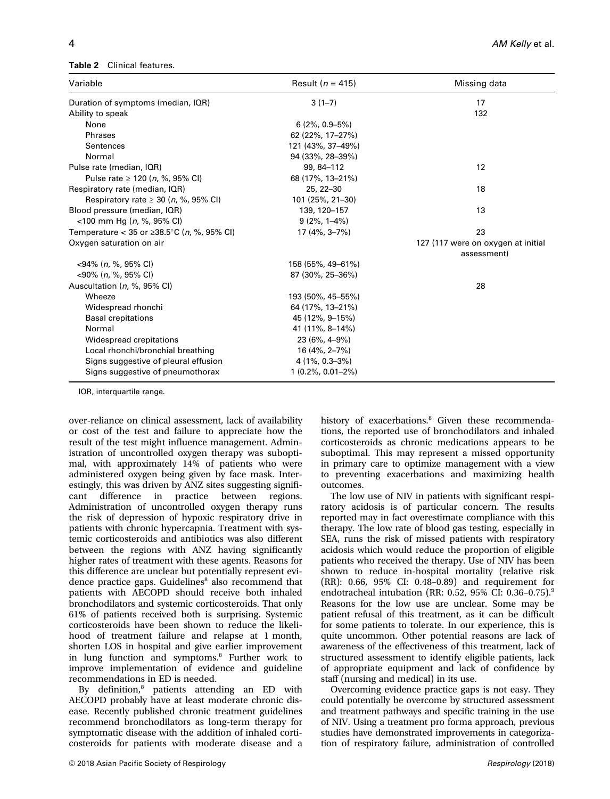#### Table 2 Clinical features.

| Variable                                             | Result ( $n = 415$ ) | Missing data                       |
|------------------------------------------------------|----------------------|------------------------------------|
| Duration of symptoms (median, IQR)                   | $3(1-7)$             | 17                                 |
| Ability to speak                                     |                      | 132                                |
| None                                                 | $6(2\%, 0.9 - 5\%)$  |                                    |
| Phrases                                              | 62 (22%, 17-27%)     |                                    |
| Sentences                                            | 121 (43%, 37-49%)    |                                    |
| Normal                                               | 94 (33%, 28-39%)     |                                    |
| Pulse rate (median, IQR)                             | 99, 84-112           | 12                                 |
| Pulse rate $\geq 120$ ( <i>n</i> , %, 95% CI)        | 68 (17%, 13-21%)     |                                    |
| Respiratory rate (median, IQR)                       | 25, 22-30            | 18                                 |
| Respiratory rate $\geq$ 30 (n, %, 95% CI)            | 101 (25%, 21-30)     |                                    |
| Blood pressure (median, IQR)                         | 139, 120-157         | 13                                 |
| $<$ 100 mm Hg ( <i>n</i> , %, 95% CI)                | $9(2\%, 1-4\%)$      |                                    |
| Temperature < 35 or ≥38.5 °C ( <i>n</i> , %, 95% CI) | 17 (4%, 3-7%)        | 23                                 |
| Oxygen saturation on air                             |                      | 127 (117 were on oxygen at initial |
|                                                      |                      | assessment)                        |
| $<$ 94% (n, %, 95% CI)                               | 158 (55%, 49–61%)    |                                    |
| $<$ 90% (n. %, 95% CI)                               | 87 (30%, 25-36%)     |                                    |
| Auscultation (n, %, 95% CI)                          |                      | 28                                 |
| Wheeze                                               | 193 (50%, 45-55%)    |                                    |
| Widespread rhonchi                                   | 64 (17%, 13-21%)     |                                    |
| <b>Basal crepitations</b>                            | 45 (12%, 9-15%)      |                                    |
| Normal                                               | 41 (11%, 8-14%)      |                                    |
| Widespread crepitations                              | $23(6\%, 4-9\%)$     |                                    |
| Local rhonchi/bronchial breathing                    | $16(4\%, 2-7\%)$     |                                    |
| Signs suggestive of pleural effusion                 | $4(1\%, 0.3-3\%)$    |                                    |
| Signs suggestive of pneumothorax                     | $1(0.2\%, 0.01-2\%)$ |                                    |

IQR, interquartile range.

over-reliance on clinical assessment, lack of availability or cost of the test and failure to appreciate how the result of the test might influence management. Administration of uncontrolled oxygen therapy was suboptimal, with approximately 14% of patients who were administered oxygen being given by face mask. Interestingly, this was driven by ANZ sites suggesting significant difference in practice between regions. Administration of uncontrolled oxygen therapy runs the risk of depression of hypoxic respiratory drive in patients with chronic hypercapnia. Treatment with systemic corticosteroids and antibiotics was also different between the regions with ANZ having significantly higher rates of treatment with these agents. Reasons for this difference are unclear but potentially represent evidence practice gaps. Guidelines $8$  also recommend that patients with AECOPD should receive both inhaled bronchodilators and systemic corticosteroids. That only 61% of patients received both is surprising. Systemic corticosteroids have been shown to reduce the likelihood of treatment failure and relapse at 1 month, shorten LOS in hospital and give earlier improvement in lung function and symptoms.<sup>8</sup> Further work to improve implementation of evidence and guideline recommendations in ED is needed.

By definition,<sup>8</sup> patients attending an ED with AECOPD probably have at least moderate chronic disease. Recently published chronic treatment guidelines recommend bronchodilators as long-term therapy for symptomatic disease with the addition of inhaled corticosteroids for patients with moderate disease and a history of exacerbations.<sup>8</sup> Given these recommendations, the reported use of bronchodilators and inhaled corticosteroids as chronic medications appears to be suboptimal. This may represent a missed opportunity in primary care to optimize management with a view to preventing exacerbations and maximizing health outcomes.

The low use of NIV in patients with significant respiratory acidosis is of particular concern. The results reported may in fact overestimate compliance with this therapy. The low rate of blood gas testing, especially in SEA, runs the risk of missed patients with respiratory acidosis which would reduce the proportion of eligible patients who received the therapy. Use of NIV has been shown to reduce in-hospital mortality (relative risk (RR): 0.66, 95% CI: 0.48–0.89) and requirement for endotracheal intubation (RR: 0.52, 95% CI: 0.36–0.75).<sup>9</sup> Reasons for the low use are unclear. Some may be patient refusal of this treatment, as it can be difficult for some patients to tolerate. In our experience, this is quite uncommon. Other potential reasons are lack of awareness of the effectiveness of this treatment, lack of structured assessment to identify eligible patients, lack of appropriate equipment and lack of confidence by staff (nursing and medical) in its use.

Overcoming evidence practice gaps is not easy. They could potentially be overcome by structured assessment and treatment pathways and specific training in the use of NIV. Using a treatment pro forma approach, previous studies have demonstrated improvements in categorization of respiratory failure, administration of controlled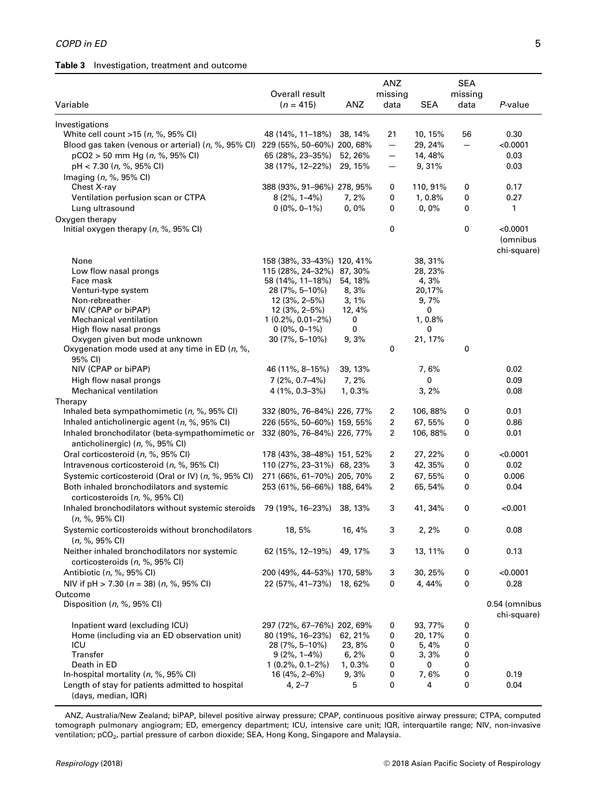## Table 3 Investigation, treatment and outcome

| Variable                                                                           | Overall result<br>$(n = 415)$                  | ANZ             | <b>ANZ</b><br>missing<br>data | <b>SEA</b>         | <b>SEA</b><br>missing<br>data | $P$ -value                         |
|------------------------------------------------------------------------------------|------------------------------------------------|-----------------|-------------------------------|--------------------|-------------------------------|------------------------------------|
| Investigations                                                                     |                                                |                 |                               |                    |                               |                                    |
| White cell count >15 (n, %, 95% CI)                                                | 48 (14%, 11–18%)                               | 38, 14%         | 21                            | 10, 15%            | 56                            | 0.30                               |
| Blood gas taken (venous or arterial) (n, %, 95% Cl) 229 (55%, 50-60%) 200, 68%     |                                                |                 | $\qquad \qquad -$             | 29, 24%            | $\overline{\phantom{0}}$      | < 0.0001                           |
| pCO2 > 50 mm Hg (n, %, 95% CI)                                                     | 65 (28%, 23-35%)                               | 52, 26%         | —                             | 14, 48%            |                               | 0.03                               |
| pH < 7.30 (n, %, 95% CI)                                                           | 38 (17%, 12-22%)                               | 29, 15%         | —                             | 9,31%              |                               | 0.03                               |
| Imaging (n, %, 95% CI)                                                             | 388 (93%, 91-96%) 278, 95%                     |                 |                               |                    |                               |                                    |
| Chest X-ray<br>Ventilation perfusion scan or CTPA                                  | $8(2\%, 1-4\%)$                                | 7, 2%           | 0<br>0                        | 110, 91%<br>1,0.8% | 0<br>0                        | 0.17<br>0.27                       |
| Lung ultrasound                                                                    | $0(0\%, 0-1\%)$                                | 0,0%            | 0                             | 0,0%               | 0                             | 1                                  |
| Oxygen therapy                                                                     |                                                |                 |                               |                    |                               |                                    |
| Initial oxygen therapy $(n, \frac{6}{6}, 95\% \text{ Cl})$                         |                                                |                 | 0                             |                    | 0                             | <0.0001<br>(omnibus<br>chi-square) |
| None                                                                               | 158 (38%, 33–43%) 120, 41%                     |                 |                               | 38, 31%            |                               |                                    |
| Low flow nasal prongs                                                              | 115 (28%, 24-32%) 87, 30%                      |                 |                               | 28, 23%            |                               |                                    |
| Face mask<br>Venturi-type system                                                   | 58 (14%, 11–18%)<br>28 (7%, 5–10%)             | 54, 18%<br>8,3% |                               | 4, 3%<br>20,17%    |                               |                                    |
| Non-rebreather                                                                     | 12 (3%, 2-5%)                                  | 3, 1%           |                               | 9,7%               |                               |                                    |
| NIV (CPAP or biPAP)                                                                | $12(3\%, 2-5\%)$                               | 12, 4%          |                               | 0                  |                               |                                    |
| Mechanical ventilation                                                             | $1(0.2\%, 0.01-2\%)$                           | 0               |                               | 1,0.8%             |                               |                                    |
| High flow nasal prongs                                                             | $0(0\%, 0-1\%)$                                | 0               |                               | 0                  |                               |                                    |
| Oxygen given but mode unknown<br>Oxygenation mode used at any time in ED (n, %,    | 30 (7%, 5-10%)                                 | 9,3%            | 0                             | 21, 17%            | 0                             |                                    |
| 95% CI)<br>NIV (CPAP or biPAP)                                                     | 46 (11%, 8-15%)                                | 39, 13%         |                               | 7,6%               |                               | 0.02                               |
| High flow nasal prongs                                                             | $7(2\%, 0.7-4\%)$                              | 7,2%            |                               | 0                  |                               | 0.09                               |
| <b>Mechanical ventilation</b>                                                      | $4(1\%, 0.3-3\%)$                              | 1,0.3%          |                               | 3,2%               |                               | 0.08                               |
| Therapy                                                                            |                                                |                 |                               |                    |                               |                                    |
| Inhaled beta sympathomimetic $(n, %, 95\% \text{ Cl})$                             | 332 (80%, 76–84%) 226, 77%                     |                 | 2                             | 106, 88%           | 0                             | 0.01                               |
| Inhaled anticholinergic agent (n, %, 95% CI)                                       | 226 (55%, 50-60%) 159, 55%                     |                 | 2                             | 67,55%             | 0                             | 0.86                               |
| Inhaled bronchodilator (beta-sympathomimetic or<br>anticholinergic) (n, %, 95% CI) | 332 (80%, 76-84%) 226, 77%                     |                 | 2                             | 106,88%            | 0                             | 0.01                               |
| Oral corticosteroid (n, %, 95% CI)                                                 | 178 (43%, 38–48%) 151, 52%                     |                 | 2                             | 27, 22%            | 0                             | <0.0001                            |
| Intravenous corticosteroid (n, %, 95% CI)                                          | 110 (27%, 23-31%) 68, 23%                      |                 | 3                             | 42, 35%            | 0                             | 0.02                               |
| Systemic corticosteroid (Oral or IV) (n, %, 95% CI)                                | 271 (66%, 61-70%) 205, 70%                     |                 | 2                             | 67, 55%            | 0                             | 0.006                              |
| Both inhaled bronchodilators and systemic<br>corticosteroids (n, %, 95% CI)        | 253 (61%, 56-66%) 188, 64%                     |                 | $\overline{2}$                | 65, 54%            | 0                             | 0.04                               |
| Inhaled bronchodilators without systemic steroids<br>$(n, %, 95\% \text{ Cl})$     | 79 (19%, 16–23%)                               | 38, 13%         | 3                             | 41, 34%            | 0                             | < 0.001                            |
| Systemic corticosteroids without bronchodilators<br>$(n, %, 95\% \text{ Cl})$      | 18,5%                                          | 16, 4%          | 3                             | 2, 2%              | 0                             | 0.08                               |
| Neither inhaled bronchodilators nor systemic<br>corticosteroids (n, %, 95% CI)     | 62 (15%, 12–19%)                               | 49, 17%         | 3                             | 13, 11%            | 0                             | 0.13                               |
| Antibiotic (n, %, 95% CI)                                                          | 200 (49%, 44–53%) 170, 58%                     |                 | 3                             | 30, 25%            | 0                             | <0.0001                            |
| NIV if $pH > 7.30$ ( $n = 38$ ) ( $n, \%$ , 95% CI)                                | 22 (57%, 41–73%) 18, 62%                       |                 | 0                             | 4, 44%             | 0                             | 0.28                               |
| Outcome<br>Disposition (n, %, 95% CI)                                              |                                                |                 |                               |                    |                               | 0.54 (omnibus                      |
|                                                                                    |                                                |                 |                               |                    |                               | chi-square)                        |
| Inpatient ward (excluding ICU)<br>Home (including via an ED observation unit)      | 297 (72%, 67–76%) 202, 69%<br>80 (19%, 16–23%) | 62, 21%         | 0<br>0                        | 93, 77%<br>20, 17% | 0<br>0                        |                                    |
| ICU                                                                                | 28 (7%, 5–10%)                                 | 23,8%           | 0                             | 5, 4%              | 0                             |                                    |
| Transfer                                                                           | $9(2\%, 1-4\%)$                                | 6, 2%           | 0                             | 3,3%               | 0                             |                                    |
| Death in ED                                                                        | $1(0.2\%, 0.1-2\%)$                            | 1, 0.3%         | 0                             | 0                  | 0                             |                                    |
| In-hospital mortality $(n, \frac{9}{6}, 95\% \text{ Cl})$                          | 16 (4%, 2-6%)                                  | 9,3%            | 0                             | 7,6%               | 0                             | 0.19                               |
| Length of stay for patients admitted to hospital<br>(days, median, IQR)            | $4, 2 - 7$                                     | 5               | 0                             | 4                  | 0                             | 0.04                               |

ANZ, Australia/New Zealand; biPAP, bilevel positive airway pressure; CPAP, continuous positive airway pressure; CTPA, computed tomograph pulmonary angiogram; ED, emergency department; ICU, intensive care unit; IQR, interquartile range; NIV, non-invasive ventilation; pCO<sub>2</sub>, partial pressure of carbon dioxide; SEA, Hong Kong, Singapore and Malaysia.